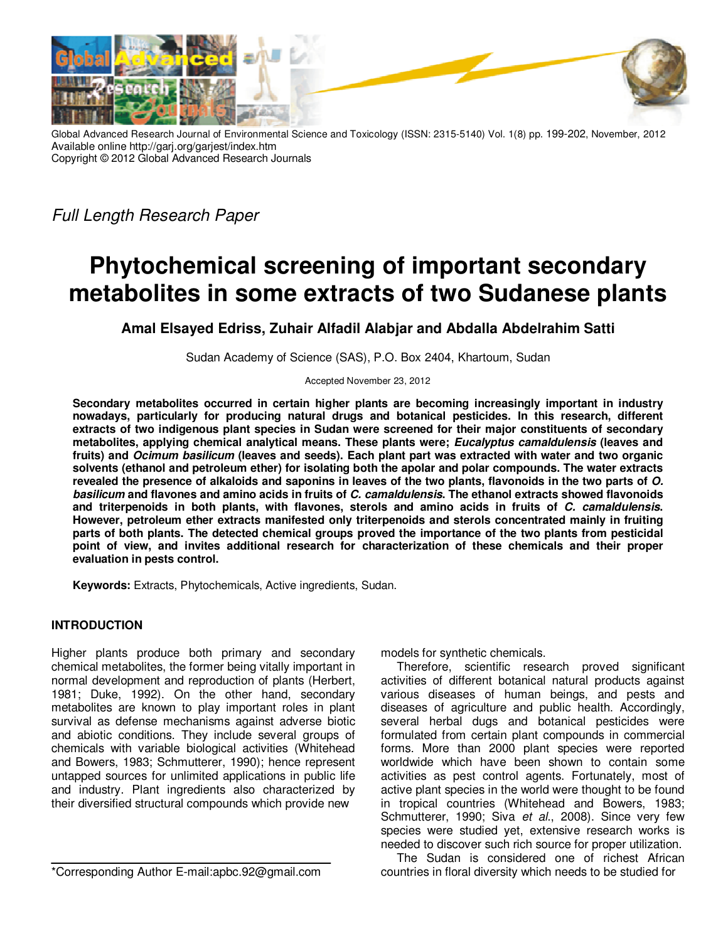

Global Advanced Research Journal of Environmental Science and Toxicology (ISSN: 2315-5140) Vol. 1(8) pp. 199-202, November, 2012 Available online http://garj.org/garjest/index.htm Copyright © 2012 Global Advanced Research Journals

Full Length Research Paper

# **Phytochemical screening of important secondary metabolites in some extracts of two Sudanese plants**

## **Amal Elsayed Edriss, Zuhair Alfadil Alabjar and Abdalla Abdelrahim Satti**

Sudan Academy of Science (SAS), P.O. Box 2404, Khartoum, Sudan

Accepted November 23, 2012

**Secondary metabolites occurred in certain higher plants are becoming increasingly important in industry nowadays, particularly for producing natural drugs and botanical pesticides. In this research, different extracts of two indigenous plant species in Sudan were screened for their major constituents of secondary metabolites, applying chemical analytical means. These plants were; Eucalyptus camaldulensis (leaves and fruits) and Ocimum basilicum (leaves and seeds). Each plant part was extracted with water and two organic solvents (ethanol and petroleum ether) for isolating both the apolar and polar compounds. The water extracts revealed the presence of alkaloids and saponins in leaves of the two plants, flavonoids in the two parts of O. basilicum and flavones and amino acids in fruits of C. camaldulensis. The ethanol extracts showed flavonoids and triterpenoids in both plants, with flavones, sterols and amino acids in fruits of C. camaldulensis. However, petroleum ether extracts manifested only triterpenoids and sterols concentrated mainly in fruiting parts of both plants. The detected chemical groups proved the importance of the two plants from pesticidal point of view, and invites additional research for characterization of these chemicals and their proper evaluation in pests control.** 

**Keywords:** Extracts, Phytochemicals, Active ingredients, Sudan.

### **INTRODUCTION**

Higher plants produce both primary and secondary chemical metabolites, the former being vitally important in normal development and reproduction of plants (Herbert, 1981; Duke, 1992). On the other hand, secondary metabolites are known to play important roles in plant survival as defense mechanisms against adverse biotic and abiotic conditions. They include several groups of chemicals with variable biological activities (Whitehead and Bowers, 1983; Schmutterer, 1990); hence represent untapped sources for unlimited applications in public life and industry. Plant ingredients also characterized by their diversified structural compounds which provide new

\*Corresponding Author E-mail:apbc.92@gmail.com

models for synthetic chemicals.

Therefore, scientific research proved significant activities of different botanical natural products against various diseases of human beings, and pests and diseases of agriculture and public health. Accordingly, several herbal dugs and botanical pesticides were formulated from certain plant compounds in commercial forms. More than 2000 plant species were reported worldwide which have been shown to contain some activities as pest control agents. Fortunately, most of active plant species in the world were thought to be found in tropical countries (Whitehead and Bowers, 1983; Schmutterer, 1990; Siva et al., 2008). Since very few species were studied yet, extensive research works is needed to discover such rich source for proper utilization.

The Sudan is considered one of richest African countries in floral diversity which needs to be studied for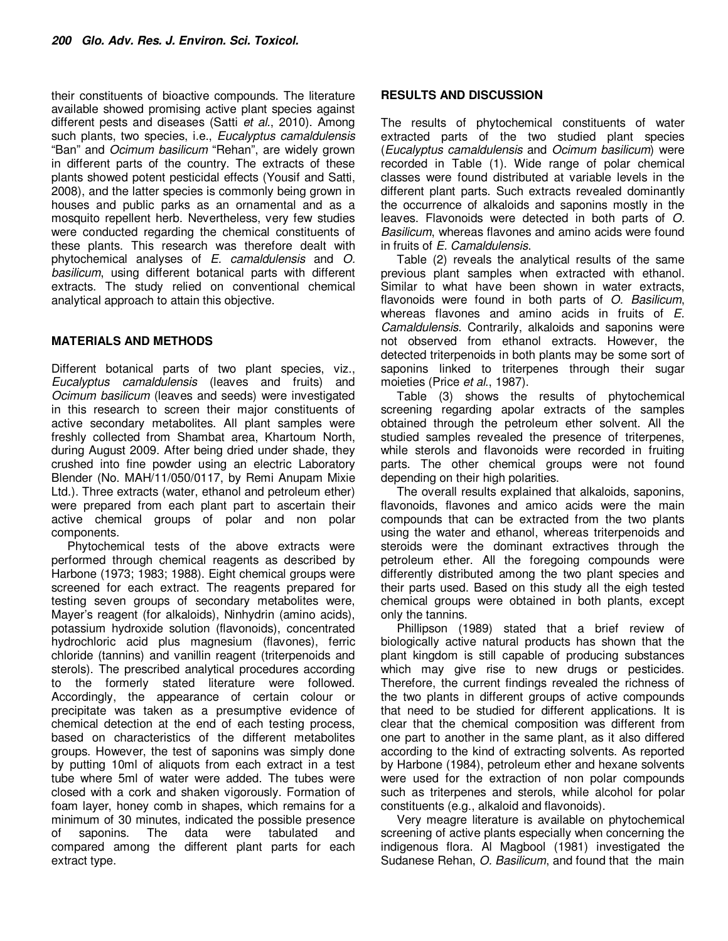their constituents of bioactive compounds. The literature available showed promising active plant species against different pests and diseases (Satti et al., 2010). Among such plants, two species, i.e., Eucalyptus camaldulensis "Ban" and Ocimum basilicum "Rehan", are widely grown in different parts of the country. The extracts of these plants showed potent pesticidal effects (Yousif and Satti, 2008), and the latter species is commonly being grown in houses and public parks as an ornamental and as a mosquito repellent herb. Nevertheless, very few studies were conducted regarding the chemical constituents of these plants. This research was therefore dealt with phytochemical analyses of E. camaldulensis and O. basilicum, using different botanical parts with different extracts. The study relied on conventional chemical analytical approach to attain this objective.

#### **MATERIALS AND METHODS**

Different botanical parts of two plant species, viz., Eucalyptus camaldulensis (leaves and fruits) and Ocimum basilicum (leaves and seeds) were investigated in this research to screen their major constituents of active secondary metabolites. All plant samples were freshly collected from Shambat area, Khartoum North, during August 2009. After being dried under shade, they crushed into fine powder using an electric Laboratory Blender (No. MAH/11/050/0117, by Remi Anupam Mixie Ltd.). Three extracts (water, ethanol and petroleum ether) were prepared from each plant part to ascertain their active chemical groups of polar and non polar components.

Phytochemical tests of the above extracts were performed through chemical reagents as described by Harbone (1973; 1983; 1988). Eight chemical groups were screened for each extract. The reagents prepared for testing seven groups of secondary metabolites were, Mayer's reagent (for alkaloids), Ninhydrin (amino acids), potassium hydroxide solution (flavonoids), concentrated hydrochloric acid plus magnesium (flavones), ferric chloride (tannins) and vanillin reagent (triterpenoids and sterols). The prescribed analytical procedures according to the formerly stated literature were followed. Accordingly, the appearance of certain colour or precipitate was taken as a presumptive evidence of chemical detection at the end of each testing process, based on characteristics of the different metabolites groups. However, the test of saponins was simply done by putting 10ml of aliquots from each extract in a test tube where 5ml of water were added. The tubes were closed with a cork and shaken vigorously. Formation of foam layer, honey comb in shapes, which remains for a minimum of 30 minutes, indicated the possible presence of saponins. The data were tabulated and compared among the different plant parts for each extract type.

#### **RESULTS AND DISCUSSION**

The results of phytochemical constituents of water extracted parts of the two studied plant species (Eucalyptus camaldulensis and Ocimum basilicum) were recorded in Table (1). Wide range of polar chemical classes were found distributed at variable levels in the different plant parts. Such extracts revealed dominantly the occurrence of alkaloids and saponins mostly in the leaves. Flavonoids were detected in both parts of O. Basilicum, whereas flavones and amino acids were found in fruits of E. Camaldulensis.

Table (2) reveals the analytical results of the same previous plant samples when extracted with ethanol. Similar to what have been shown in water extracts, flavonoids were found in both parts of O. Basilicum, whereas flavones and amino acids in fruits of E. Camaldulensis. Contrarily, alkaloids and saponins were not observed from ethanol extracts. However, the detected triterpenoids in both plants may be some sort of saponins linked to triterpenes through their sugar moieties (Price et al., 1987).

Table (3) shows the results of phytochemical screening regarding apolar extracts of the samples obtained through the petroleum ether solvent. All the studied samples revealed the presence of triterpenes, while sterols and flavonoids were recorded in fruiting parts. The other chemical groups were not found depending on their high polarities.

The overall results explained that alkaloids, saponins, flavonoids, flavones and amico acids were the main compounds that can be extracted from the two plants using the water and ethanol, whereas triterpenoids and steroids were the dominant extractives through the petroleum ether. All the foregoing compounds were differently distributed among the two plant species and their parts used. Based on this study all the eigh tested chemical groups were obtained in both plants, except only the tannins.

Phillipson (1989) stated that a brief review of biologically active natural products has shown that the plant kingdom is still capable of producing substances which may give rise to new drugs or pesticides. Therefore, the current findings revealed the richness of the two plants in different groups of active compounds that need to be studied for different applications. It is clear that the chemical composition was different from one part to another in the same plant, as it also differed according to the kind of extracting solvents. As reported by Harbone (1984), petroleum ether and hexane solvents were used for the extraction of non polar compounds such as triterpenes and sterols, while alcohol for polar constituents (e.g., alkaloid and flavonoids).

Very meagre literature is available on phytochemical screening of active plants especially when concerning the indigenous flora. Al Magbool (1981) investigated the Sudanese Rehan, O. Basilicum, and found that the main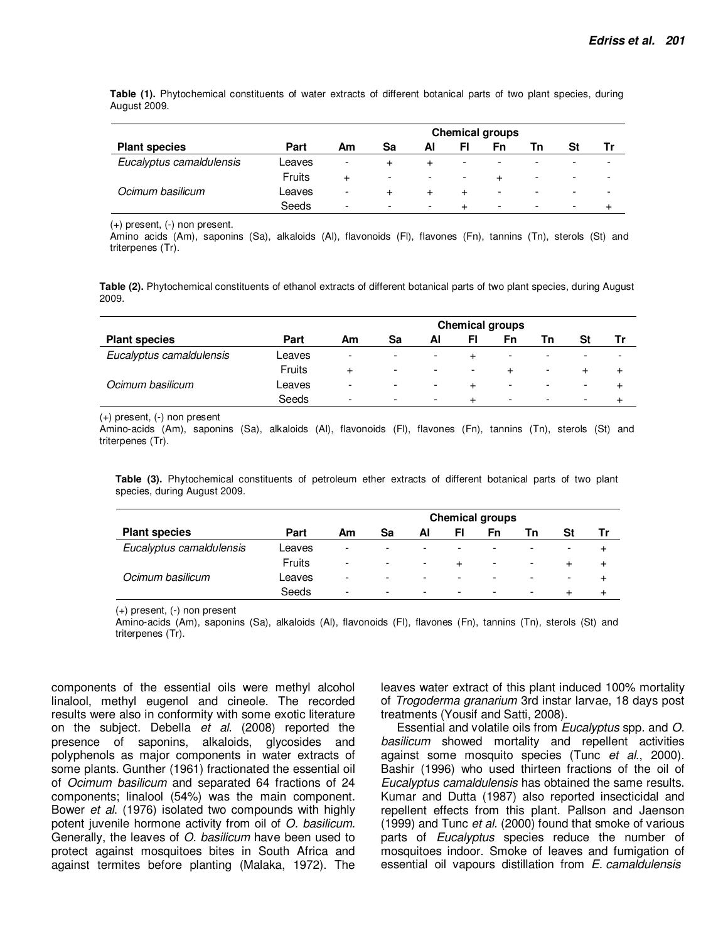**Table (1).** Phytochemical constituents of water extracts of different botanical parts of two plant species, during August 2009.

|                          |        | <b>Chemical groups</b>   |                          |                          |                          |                          |                          |   |   |  |
|--------------------------|--------|--------------------------|--------------------------|--------------------------|--------------------------|--------------------------|--------------------------|---|---|--|
| <b>Plant species</b>     | Part   | Am                       | Sa                       | Αl                       |                          | Fn                       | Тn                       |   |   |  |
| Eucalyptus camaldulensis | Leaves | $\overline{\phantom{a}}$ |                          |                          | -                        | -                        |                          |   |   |  |
|                          | Fruits | +                        | $\overline{\phantom{a}}$ | $\overline{\phantom{a}}$ | $\overline{\phantom{0}}$ |                          | $\overline{\phantom{a}}$ | - | - |  |
| Ocimum basilicum         | Leaves | -                        |                          |                          |                          | -                        |                          |   |   |  |
|                          | Seeds  | $\overline{\phantom{0}}$ | -                        | ۰                        |                          | $\overline{\phantom{0}}$ |                          | ۰ |   |  |

(+) present, (-) non present.

Amino acids (Am), saponins (Sa), alkaloids (Al), flavonoids (Fl), flavones (Fn), tannins (Tn), sterols (St) and triterpenes (Tr).

**Table (2).** Phytochemical constituents of ethanol extracts of different botanical parts of two plant species, during August 2009.

|                          |        | <b>Chemical groups</b>   |                          |                          |                          |                          |                          |                          |                          |
|--------------------------|--------|--------------------------|--------------------------|--------------------------|--------------------------|--------------------------|--------------------------|--------------------------|--------------------------|
| <b>Plant species</b>     | Part   | Am                       | Sa                       | Al                       | FI                       | Fn                       |                          | SI                       |                          |
| Eucalyptus camaldulensis | Leaves | $\overline{\phantom{a}}$ | -                        | -                        |                          | -                        | $\overline{\phantom{a}}$ | $\overline{\phantom{0}}$ | $\overline{\phantom{a}}$ |
|                          | Fruits | $\div$                   | $\overline{\phantom{a}}$ | $\overline{\phantom{a}}$ | $\overline{\phantom{0}}$ |                          | $\overline{\phantom{a}}$ |                          |                          |
| Ocimum basilicum         | Leaves | $\overline{\phantom{a}}$ | $\overline{\phantom{a}}$ | $\overline{\phantom{0}}$ |                          | $\overline{\phantom{a}}$ | $\overline{\phantom{a}}$ | $\overline{\phantom{0}}$ |                          |
|                          | Seeds  | $\overline{\phantom{a}}$ | $\overline{\phantom{0}}$ | $\overline{\phantom{a}}$ |                          | $\overline{\phantom{a}}$ | $\overline{\phantom{a}}$ | $\overline{\phantom{0}}$ |                          |

(+) present, (-) non present

Amino-acids (Am), saponins (Sa), alkaloids (Al), flavonoids (Fl), flavones (Fn), tannins (Tn), sterols (St) and triterpenes (Tr).

**Table (3).** Phytochemical constituents of petroleum ether extracts of different botanical parts of two plant species, during August 2009.

|                          |        | <b>Chemical groups</b>   |                          |                          |                          |                          |                          |                          |  |  |
|--------------------------|--------|--------------------------|--------------------------|--------------------------|--------------------------|--------------------------|--------------------------|--------------------------|--|--|
| <b>Plant species</b>     | Part   | Am                       | Sa                       | Al                       | FI                       | Fn                       | Τn                       | St                       |  |  |
| Eucalyptus camaldulensis | Leaves | $\overline{\phantom{a}}$ | $\overline{\phantom{a}}$ | -                        | $\overline{\phantom{a}}$ | $\overline{\phantom{a}}$ | -                        | $\overline{\phantom{a}}$ |  |  |
|                          | Fruits | $\overline{\phantom{a}}$ | $\overline{\phantom{a}}$ | -                        | $\ddot{}$                | $\overline{\phantom{a}}$ | $\overline{\phantom{a}}$ | $\ddot{}$                |  |  |
| Ocimum basilicum         | Leaves | $\overline{\phantom{a}}$ | $\overline{\phantom{a}}$ | $\overline{\phantom{a}}$ | $\overline{\phantom{a}}$ | $\overline{\phantom{a}}$ |                          | $\overline{\phantom{a}}$ |  |  |
|                          | Seeds  | $\overline{\phantom{a}}$ | $\overline{\phantom{a}}$ | $\overline{\phantom{0}}$ | $\overline{\phantom{0}}$ | $\overline{\phantom{a}}$ | ٠                        |                          |  |  |

(+) present, (-) non present

Amino-acids (Am), saponins (Sa), alkaloids (Al), flavonoids (Fl), flavones (Fn), tannins (Tn), sterols (St) and triterpenes (Tr).

components of the essential oils were methyl alcohol linalool, methyl eugenol and cineole. The recorded results were also in conformity with some exotic literature on the subject. Debella et al. (2008) reported the presence of saponins, alkaloids, glycosides and polyphenols as major components in water extracts of some plants. Gunther (1961) fractionated the essential oil of Ocimum basilicum and separated 64 fractions of 24 components; linalool (54%) was the main component. Bower et al. (1976) isolated two compounds with highly potent juvenile hormone activity from oil of O. basilicum. Generally, the leaves of O. basilicum have been used to protect against mosquitoes bites in South Africa and against termites before planting (Malaka, 1972). The

leaves water extract of this plant induced 100% mortality of Trogoderma granarium 3rd instar larvae, 18 days post treatments (Yousif and Satti, 2008).

Essential and volatile oils from Eucalyptus spp. and O. basilicum showed mortality and repellent activities against some mosquito species (Tunc et al., 2000). Bashir (1996) who used thirteen fractions of the oil of Eucalyptus camaldulensis has obtained the same results. Kumar and Dutta (1987) also reported insecticidal and repellent effects from this plant. Pallson and Jaenson (1999) and Tunc et al. (2000) found that smoke of various parts of *Eucalyptus* species reduce the number of mosquitoes indoor. Smoke of leaves and fumigation of essential oil vapours distillation from E. camaldulensis